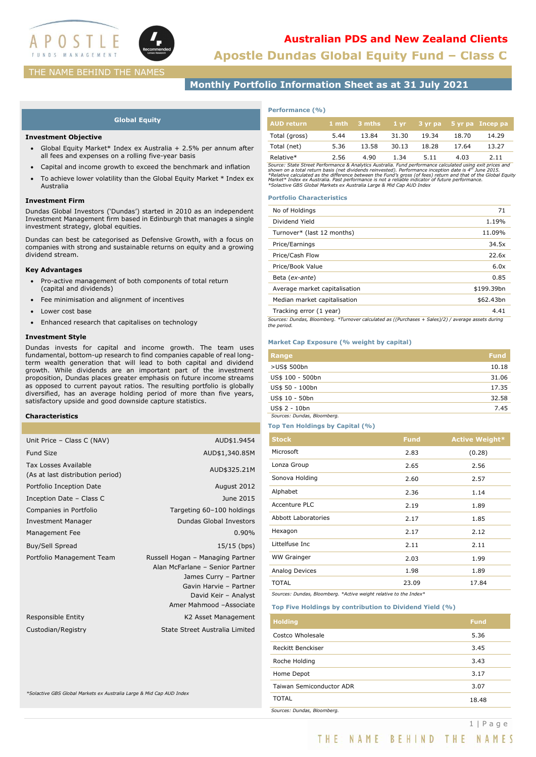

# **Australian PDS and New Zealand Clients**

**Apostle Dundas Global Equity Fund – Class C**

## THE NAME BEHIND THE NAMES

**Monthly Portfolio Information Sheet as at 31 July 2021**

## **Global Equity**

### **Investment Objective**

- Global Equity Market\* Index ex Australia + 2.5% per annum after all fees and expenses on a rolling five-year basis
- Capital and income growth to exceed the benchmark and inflation
- To achieve lower volatility than the Global Equity Market \* Index ex Australia

### **Investment Firm**

Dundas Global Investors ('Dundas') started in 2010 as an independent Investment Management firm based in Edinburgh that manages a single investment strategy, global equities.

Dundas can best be categorised as Defensive Growth, with a focus on companies with strong and sustainable returns on equity and a growing dividend stream.

## **Key Advantages**

- Pro-active management of both components of total return (capital and dividends)
- Fee minimisation and alignment of incentives
- Lower cost base
- Enhanced research that capitalises on technology

## **Investment Style**

Dundas invests for capital and income growth. The team uses fundamental, bottom-up research to find companies capable of real longterm wealth generation that will lead to both capital and dividend growth. While dividends are an important part of the investment proposition, Dundas places greater emphasis on future income streams as opposed to current payout ratios. The resulting portfolio is globally diversified, has an average holding period of more than five years, satisfactory upside and good downside capture statistics.

## **Characteristics**

| Unit Price - Class C (NAV)                               | AUD\$1.9454                                                                                                                                                               |
|----------------------------------------------------------|---------------------------------------------------------------------------------------------------------------------------------------------------------------------------|
| <b>Fund Size</b>                                         | AUD\$1,340.85M                                                                                                                                                            |
| Tax Losses Available<br>(As at last distribution period) | AUD\$325.21M                                                                                                                                                              |
| Portfolio Inception Date                                 | August 2012                                                                                                                                                               |
| Inception Date - Class C                                 | June 2015                                                                                                                                                                 |
| Companies in Portfolio                                   | Targeting 60-100 holdings                                                                                                                                                 |
| <b>Investment Manager</b>                                | Dundas Global Investors                                                                                                                                                   |
| Management Fee                                           | 0.90%                                                                                                                                                                     |
| Buy/Sell Spread                                          | 15/15 (bps)                                                                                                                                                               |
| Portfolio Management Team                                | Russell Hogan - Managing Partner<br>Alan McFarlane - Senior Partner<br>James Curry - Partner<br>Gavin Harvie - Partner<br>David Keir - Analyst<br>Amer Mahmood -Associate |
| Responsible Entity                                       | K2 Asset Management                                                                                                                                                       |
| Custodian/Registry                                       | State Street Australia Limited                                                                                                                                            |
|                                                          |                                                                                                                                                                           |

*\*Solactive GBS Global Markets ex Australia Large & Mid Cap AUD Index*

### **Performance (%)**

| <b>AUD return</b> |      | 1 mth 3 mths |       |       |       | 1 yr 3 yr pa 5 yr pa Incep pa |
|-------------------|------|--------------|-------|-------|-------|-------------------------------|
| Total (gross)     | 5.44 | 13.84        | 31.30 | 19.34 | 18.70 | 14.29                         |
| Total (net)       | 5.36 | 13.58        | 30.13 | 18.28 | 17.64 | 13.27                         |
| Relative*         | 2.56 | 4.90         | 1.34  | 5.11  | 4.03  | 2.11                          |

Relative\*<br>Schrift Header and S. 156 (and the set of the set of the set of the street Performance & Analytics Australia. Fund performance incapalized using exit prices and<br>Shown on a total return basis (net dividends reinve

#### **Portfolio Characteristics**

| No of Holdings                                                                                                     | 71         |
|--------------------------------------------------------------------------------------------------------------------|------------|
| Dividend Yield                                                                                                     | 1.19%      |
| Turnover* (last 12 months)                                                                                         | 11.09%     |
| Price/Earnings                                                                                                     | 34.5x      |
| Price/Cash Flow                                                                                                    | 22.6x      |
| Price/Book Value                                                                                                   | 6.0x       |
| Beta (ex-ante)                                                                                                     | 0.85       |
| Average market capitalisation                                                                                      | \$199.39bn |
| Median market capitalisation                                                                                       | \$62.43bn  |
| Tracking error (1 year)                                                                                            | 4.41       |
| Sources: Dundas, Bloomberg. *Turnover calculated as ((Purchases + Sales)/2) / average assets during<br>the period. |            |

#### **Market Cap Exposure (% weight by capital)**

| Range                       | <b>Fund</b> |
|-----------------------------|-------------|
| >US\$ 500bn                 | 10.18       |
| US\$ 100 - 500bn            | 31.06       |
| US\$ 50 - 100bn             | 17.35       |
| US\$ 10 - 50bn              | 32.58       |
| US\$ 2 - 10bn               | 7.45        |
| Sources: Dundas, Bloomberg. |             |

#### **Top Ten Holdings by Capital (%)**

| <b>Stock</b>               | <b>Fund</b> | <b>Active Weight*</b> |
|----------------------------|-------------|-----------------------|
| Microsoft                  | 2.83        | (0.28)                |
| Lonza Group                | 2.65        | 2.56                  |
| Sonova Holding             | 2.60        | 2.57                  |
| Alphabet                   | 2.36        | 1.14                  |
| Accenture PLC              | 2.19        | 1.89                  |
| <b>Abbott Laboratories</b> | 2.17        | 1.85                  |
| Hexagon                    | 2.17        | 2.12                  |
| Littelfuse Inc             | 2.11        | 2.11                  |
| <b>WW Grainger</b>         | 2.03        | 1.99                  |
| Analog Devices             | 1.98        | 1.89                  |
| <b>TOTAL</b>               | 23.09       | 17.84                 |

*Sources: Dundas, Bloomberg. \*Active weight relative to the Index\**

#### **Top Five Holdings by contribution to Dividend Yield (%)**

| <b>Holding</b>              | <b>Fund</b> |
|-----------------------------|-------------|
| Costco Wholesale            | 5.36        |
| Reckitt Benckiser           | 3.45        |
| Roche Holding               | 3.43        |
| Home Depot                  | 3.17        |
| Taiwan Semiconductor ADR    | 3.07        |
| TOTAL                       | 18.48       |
| Sources: Dundas, Bloomberg. |             |

THE NAME BEHIND THE NAMES

1 | P a g e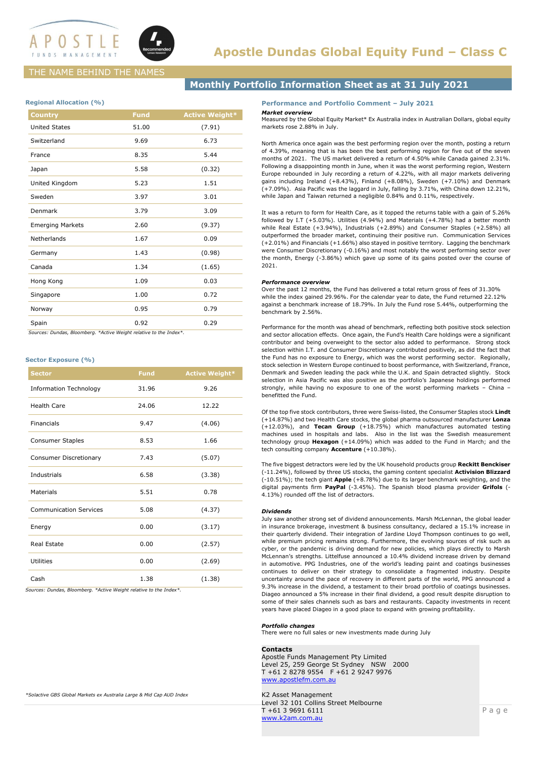

# THE NAME BEHIND THE NAMES

## **Regional Allocation (%)**

| <b>Country</b>          | <b>Fund</b> | <b>Active Weight*</b> |
|-------------------------|-------------|-----------------------|
| <b>United States</b>    | 51.00       | (7.91)                |
| Switzerland             | 9.69        | 6.73                  |
| France                  | 8.35        | 5.44                  |
| Japan                   | 5.58        | (0.32)                |
| United Kingdom          | 5.23        | 1.51                  |
| Sweden                  | 3.97        | 3.01                  |
| Denmark                 | 3.79        | 3.09                  |
| <b>Emerging Markets</b> | 2.60        | (9.37)                |
| Netherlands             | 1.67        | 0.09                  |
| Germany                 | 1.43        | (0.98)                |
| Canada                  | 1.34        | (1.65)                |
| Hong Kong               | 1.09        | 0.03                  |
| Singapore               | 1.00        | 0.72                  |
| Norway                  | 0.95        | 0.79                  |
| Spain                   | 0.92        | 0.29                  |

 *Sources: Dundas, Bloomberg. \*Active Weight relative to the Index\*.*

#### **Sector Exposure (%)**

| <b>Sector</b>                 | <b>Fund</b> | <b>Active Weight*</b> |
|-------------------------------|-------------|-----------------------|
| <b>Information Technology</b> | 31.96       | 9.26                  |
| <b>Health Care</b>            | 24.06       | 12.22                 |
| Financials                    | 9.47        | (4.06)                |
| <b>Consumer Staples</b>       | 8.53        | 1.66                  |
| Consumer Discretionary        | 7.43        | (5.07)                |
| Industrials                   | 6.58        | (3.38)                |
| <b>Materials</b>              | 5.51        | 0.78                  |
| <b>Communication Services</b> | 5.08        | (4.37)                |
| Energy                        | 0.00        | (3.17)                |
| <b>Real Estate</b>            | 0.00        | (2.57)                |
| Utilities                     | 0.00        | (2.69)                |
| Cash                          | 1.38        | (1.38)                |

*Sources: Dundas, Bloomberg. \*Active Weight relative to the Index\*.*

# **Monthly Portfolio Information Sheet as at 31 July 2021**

## **Performance and Portfolio Comment – July 2021**

#### *Market overview*

Measured by the Global Equity Market\* Ex Australia index in Australian Dollars, global equity markets rose 2.88% in July.

North America once again was the best performing region over the month, posting a return of 4.39%, meaning that is has been the best performing region for five out of the seven months of 2021. The US market delivered a return of 4.50% while Canada gained 2.31%. Following a disappointing month in June, when it was the worst performing region, Western Europe rebounded in July recording a return of 4.22%, with all major markets delivering gains including Ireland (+8.43%), Finland (+8.08%), Sweden (+7.10%) and Denmark (+7.09%). Asia Pacific was the laggard in July, falling by 3.71%, with China down 12.21%, while Japan and Taiwan returned a negligible 0.84% and 0.11%, respectively.

It was a return to form for Health Care, as it topped the returns table with a gain of 5.26% followed by I.T (+5.03%). Utilities (4.94%) and Materials (+4.78%) had a better month while Real Estate (+3.94%), Industrials (+2.89%) and Consumer Staples (+2.58%) all outperformed the broader market, continuing their positive run. Communication Services (+2.01%) and Financials (+1.66%) also stayed in positive territory. Lagging the benchmark were Consumer Discretionary (-0.16%) and most notably the worst performing sector over the month, Energy (-3.86%) which gave up some of its gains posted over the course of 2021.

#### *Performance overview*

Over the past 12 months, the Fund has delivered a total return gross of fees of 31.30% while the index gained 29.96%. For the calendar year to date, the Fund returned 22.12% against a benchmark increase of 18.79%. In July the Fund rose 5.44%, outperforming the benchmark by 2.56%.

Performance for the month was ahead of benchmark, reflecting both positive stock selection and sector allocation effects. Once again, the Fund's Health Care holdings were a significant contributor and being overweight to the sector also added to performance. Strong stock selection within I.T. and Consumer Discretionary contributed positively, as did the fact that the Fund has no exposure to Energy, which was the worst performing sector. Regionally, stock selection in Western Europe continued to boost performance, with Switzerland, France, Denmark and Sweden leading the pack while the U.K. and Spain detracted slightly. Stock selection in Asia Pacific was also positive as the portfolio's Japanese holdings performed strongly, while having no exposure to one of the worst performing markets – China – benefitted the Fund.

Of the top five stock contributors, three were Swiss-listed, the Consumer Staples stock **Lindt** (+14.87%) and two Health Care stocks, the global pharma outsourced manufacturer **Lonza** (+12.03%), and **Tecan Group** (+18.75%) which manufactures automated testing machines used in hospitals and labs. Also in the list was the Swedish measurement technology group **Hexagon** (+14.09%) which was added to the Fund in March; and the tech consulting company **Accenture** (+10.38%).

The five biggest detractors were led by the UK household products group **Reckitt Benckiser** (-11.24%), followed by three US stocks, the gaming content specialist **Activision Blizzard** (-10.51%); the tech giant **Apple** (+8.78%) due to its larger benchmark weighting, and the digital payments firm **PayPal** (-3.45%). The Spanish blood plasma provider **Grifols** (- 4.13%) rounded off the list of detractors.

#### *Dividends*

July saw another strong set of dividend announcements. Marsh McLennan, the global leader in insurance brokerage, investment & business consultancy, declared a 15.1% increase in their quarterly dividend. Their integration of Jardine Lloyd Thompson continues to go well, while premium pricing remains strong. Furthermore, the evolving sources of risk such as cyber, or the pandemic is driving demand for new policies, which plays directly to Marsh McLennan's strengths. Littelfuse announced a 10.4% dividend increase driven by demand in automotive. PPG Industries, one of the world's leading paint and coatings businesses continues to deliver on their strategy to consolidate a fragmented industry. Despite uncertainty around the pace of recovery in different parts of the world, PPG announced a 9.3% increase in the dividend, a testament to their broad portfolio of coatings businesses. Diageo announced a 5% increase in their final dividend, a good result despite disruption to some of their sales channels such as bars and restaurants. Capacity investments in recent years have placed Diageo in a good place to expand with growing profitability.

## *Portfolio changes*

There were no full sales or new investments made during July

#### **Contacts**

Apostle Funds Management Pty Limited Level 25, 259 George St Sydney NSW 2000 T +61 2 8278 9554 F +61 2 9247 9976 [www.apostlefm.com.au](http://www.apostlefm.com.au/)

K2 Asset Management Level 32 101 Collins Street Melbourne T +61 3 9691 6111 [www.k2am.com.au](http://www.k2am.com.au/)

*\*Solactive GBS Global Markets ex Australia Large & Mid Cap AUD Index*